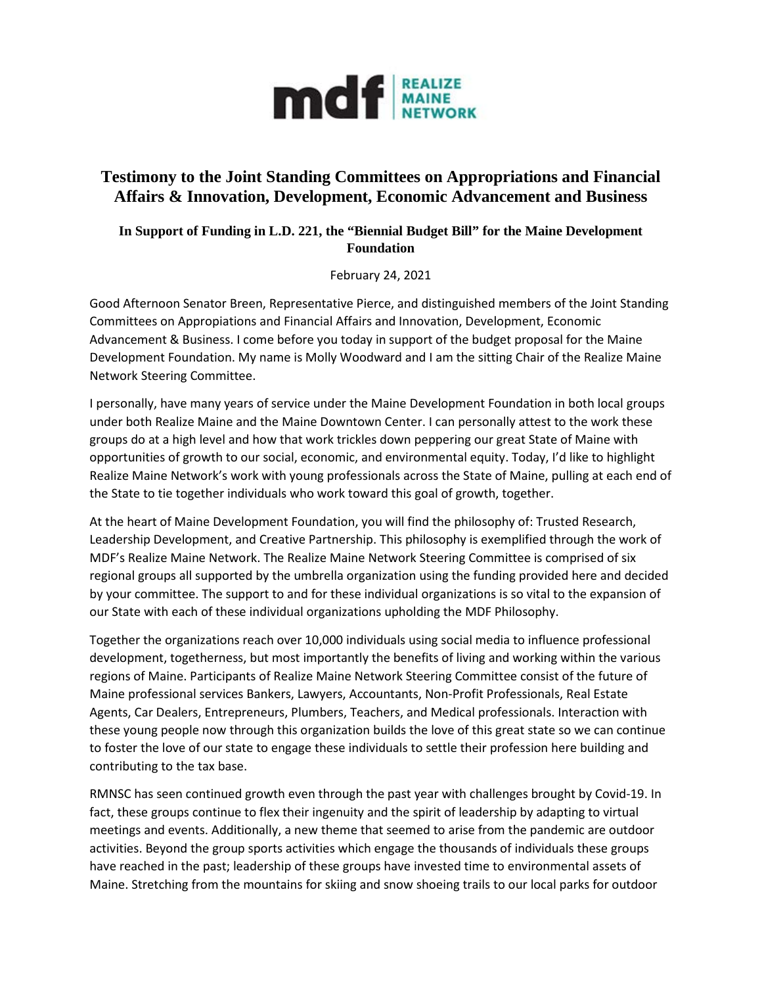

## **Testimony to the Joint Standing Committees on Appropriations and Financial Affairs & Innovation, Development, Economic Advancement and Business**

## **In Support of Funding in L.D. 221, the "Biennial Budget Bill" for the Maine Development Foundation**

February 24, 2021

Good Afternoon Senator Breen, Representative Pierce, and distinguished members of the Joint Standing Committees on Appropiations and Financial Affairs and Innovation, Development, Economic Advancement & Business. I come before you today in support of the budget proposal for the Maine Development Foundation. My name is Molly Woodward and I am the sitting Chair of the Realize Maine Network Steering Committee.

I personally, have many years of service under the Maine Development Foundation in both local groups under both Realize Maine and the Maine Downtown Center. I can personally attest to the work these groups do at a high level and how that work trickles down peppering our great State of Maine with opportunities of growth to our social, economic, and environmental equity. Today, I'd like to highlight Realize Maine Network's work with young professionals across the State of Maine, pulling at each end of the State to tie together individuals who work toward this goal of growth, together.

At the heart of Maine Development Foundation, you will find the philosophy of: Trusted Research, Leadership Development, and Creative Partnership. This philosophy is exemplified through the work of MDF's Realize Maine Network. The Realize Maine Network Steering Committee is comprised of six regional groups all supported by the umbrella organization using the funding provided here and decided by your committee. The support to and for these individual organizations is so vital to the expansion of our State with each of these individual organizations upholding the MDF Philosophy.

Together the organizations reach over 10,000 individuals using social media to influence professional development, togetherness, but most importantly the benefits of living and working within the various regions of Maine. Participants of Realize Maine Network Steering Committee consist of the future of Maine professional services Bankers, Lawyers, Accountants, Non-Profit Professionals, Real Estate Agents, Car Dealers, Entrepreneurs, Plumbers, Teachers, and Medical professionals. Interaction with these young people now through this organization builds the love of this great state so we can continue to foster the love of our state to engage these individuals to settle their profession here building and contributing to the tax base.

RMNSC has seen continued growth even through the past year with challenges brought by Covid-19. In fact, these groups continue to flex their ingenuity and the spirit of leadership by adapting to virtual meetings and events. Additionally, a new theme that seemed to arise from the pandemic are outdoor activities. Beyond the group sports activities which engage the thousands of individuals these groups have reached in the past; leadership of these groups have invested time to environmental assets of Maine. Stretching from the mountains for skiing and snow shoeing trails to our local parks for outdoor